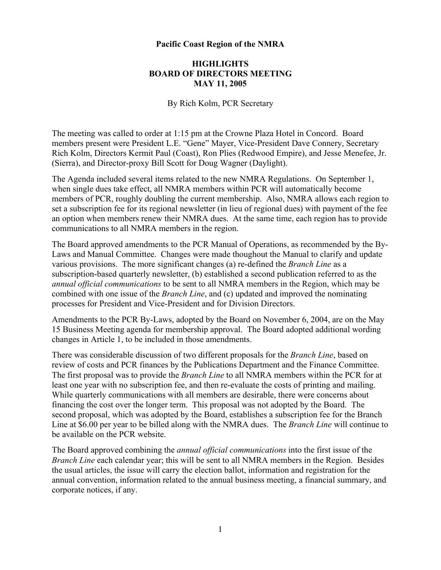## **Pacific Coast Region of the NMRA**

## **HIGHLIGHTS BOARD OF DIRECTORS MEETING MAY 11, 2005**

By Rich Kolm, PCR Secretary

The meeting was called to order at 1:15 pm at the Crowne Plaza Hotel in Concord. Board members present were President L.E. "Gene" Mayer, Vice-President Dave Connery, Secretary Rich Kolm, Directors Kermit Paul (Coast), Ron Plies (Redwood Empire), and Jesse Menefee, Jr. (Sierra), and Director-proxy Bill Scott for Doug Wagner (Daylight).

The Agenda included several items related to the new NMRA Regulations. On September 1, when single dues take effect, all NMRA members within PCR will automatically become members of PCR, roughly doubling the current membership. Also, NMRA allows each region to set a subscription fee for its regional newsletter (in lieu of regional dues) with payment of the fee an option when members renew their NMRA dues. At the same time, each region has to provide communications to all NMRA members in the region.

The Board approved amendments to the PCR Manual of Operations, as recommended by the By-Laws and Manual Committee. Changes were made thoughout the Manual to clarify and update various provisions. The more significant changes (a) re-defined the *Branch Line* as a subscription-based quarterly newsletter, (b) established a second publication referred to as the *annual official communications* to be sent to all NMRA members in the Region, which may be combined with one issue of the *Branch Line*, and (c) updated and improved the nominating processes for President and Vice-President and for Division Directors.

Amendments to the PCR By-Laws, adopted by the Board on November 6, 2004, are on the May 15 Business Meeting agenda for membership approval. The Board adopted additional wording changes in Article 1, to be included in those amendments.

There was considerable discussion of two different proposals for the *Branch Line*, based on review of costs and PCR finances by the Publications Department and the Finance Committee. The first proposal was to provide the *Branch Line* to all NMRA members within the PCR for at least one year with no subscription fee, and then re-evaluate the costs of printing and mailing. While quarterly communications with all members are desirable, there were concerns about financing the cost over the longer term. This proposal was not adopted by the Board. The second proposal, which was adopted by the Board, establishes a subscription fee for the Branch Line at \$6.00 per year to be billed along with the NMRA dues. The *Branch Line* will continue to be available on the PCR website.

The Board approved combining the *annual official communications* into the first issue of the *Branch Line* each calendar year; this will be sent to all NMRA members in the Region. Besides the usual articles, the issue will carry the election ballot, information and registration for the annual convention, information related to the annual business meeting, a financial summary, and corporate notices, if any.